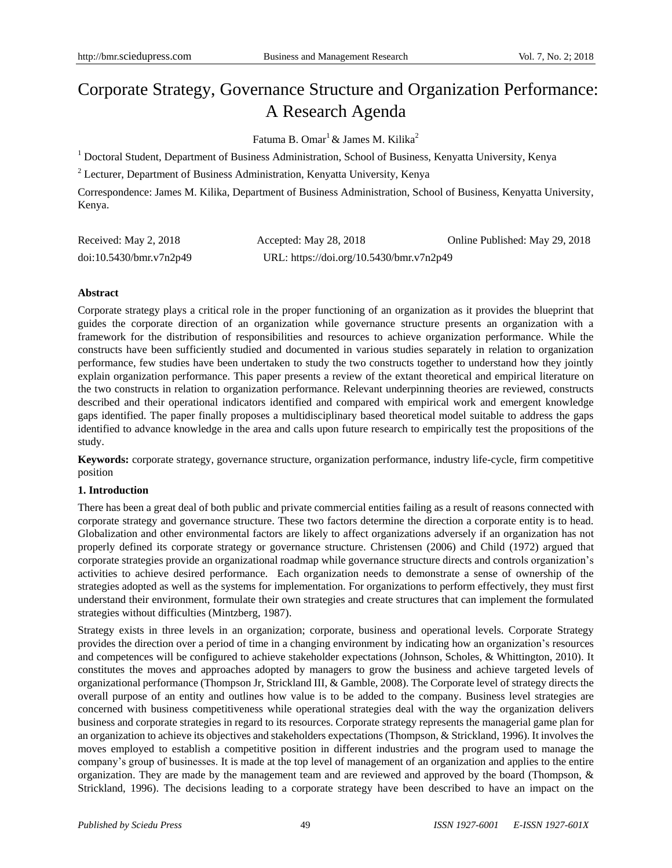# Corporate Strategy, Governance Structure and Organization Performance: A Research Agenda

Fatuma B. Omar<sup>1</sup> & James M. Kilika<sup>2</sup>

<sup>1</sup> Doctoral Student, Department of Business Administration, School of Business, Kenyatta University, Kenya

<sup>2</sup> Lecturer, Department of Business Administration, Kenyatta University, Kenya

Correspondence: James M. Kilika, Department of Business Administration, School of Business, Kenyatta University, Kenya.

| Received: May 2, 2018   | Accepted: May 28, 2018                   | Online Published: May 29, 2018 |
|-------------------------|------------------------------------------|--------------------------------|
| doi:10.5430/bmr.v7n2p49 | URL: https://doi.org/10.5430/bmr.v7n2p49 |                                |

## **Abstract**

Corporate strategy plays a critical role in the proper functioning of an organization as it provides the blueprint that guides the corporate direction of an organization while governance structure presents an organization with a framework for the distribution of responsibilities and resources to achieve organization performance. While the constructs have been sufficiently studied and documented in various studies separately in relation to organization performance, few studies have been undertaken to study the two constructs together to understand how they jointly explain organization performance. This paper presents a review of the extant theoretical and empirical literature on the two constructs in relation to organization performance. Relevant underpinning theories are reviewed, constructs described and their operational indicators identified and compared with empirical work and emergent knowledge gaps identified. The paper finally proposes a multidisciplinary based theoretical model suitable to address the gaps identified to advance knowledge in the area and calls upon future research to empirically test the propositions of the study.

**Keywords:** corporate strategy, governance structure, organization performance, industry life-cycle, firm competitive position

## **1. Introduction**

There has been a great deal of both public and private commercial entities failing as a result of reasons connected with corporate strategy and governance structure. These two factors determine the direction a corporate entity is to head. Globalization and other environmental factors are likely to affect organizations adversely if an organization has not properly defined its corporate strategy or governance structure. Christensen (2006) and Child (1972) argued that corporate strategies provide an organizational roadmap whil[e governance](http://www.businessdictionary.com/definition/governance.html) structure directs and controls organization's activities to achieve desired performance. Each organization needs to demonstrate a sense of ownership of the strategies adopted as well as the systems for implementation. For organizations to perform effectively, they must first understand their environment, formulate their own strategies and create structures that can implement the formulated strategies without difficulties (Mintzberg, 1987).

Strategy exists in three levels in an organization; corporate, business and operational levels. Corporate Strategy provides the direction over a period of time in a changing environment by indicating how an organization's resources and competences will be configured to achieve stakeholder expectations (Johnson, Scholes, & Whittington, 2010). It constitutes the moves and approaches adopted by managers to grow the business and achieve targeted levels of organizational performance (Thompson Jr, Strickland III, & Gamble, 2008). The Corporate level of strategy directs the overall purpose of an entity and outlines how value is to be added to the company. Business level strategies are concerned with business competitiveness while operational strategies deal with the way the organization delivers business and corporate strategies in regard to its resources. Corporate strategy represents the managerial game plan for an organization to achieve its objectives and stakeholders expectations (Thompson, & Strickland, 1996). It involves the moves employed to establish a competitive position in different industries and the program used to manage the company's group of businesses. It is made at the top level of management of an organization and applies to the entire organization. They are made by the management team and are reviewed and approved by the board (Thompson,  $\&$ Strickland, 1996). The decisions leading to a corporate strategy have been described to have an impact on the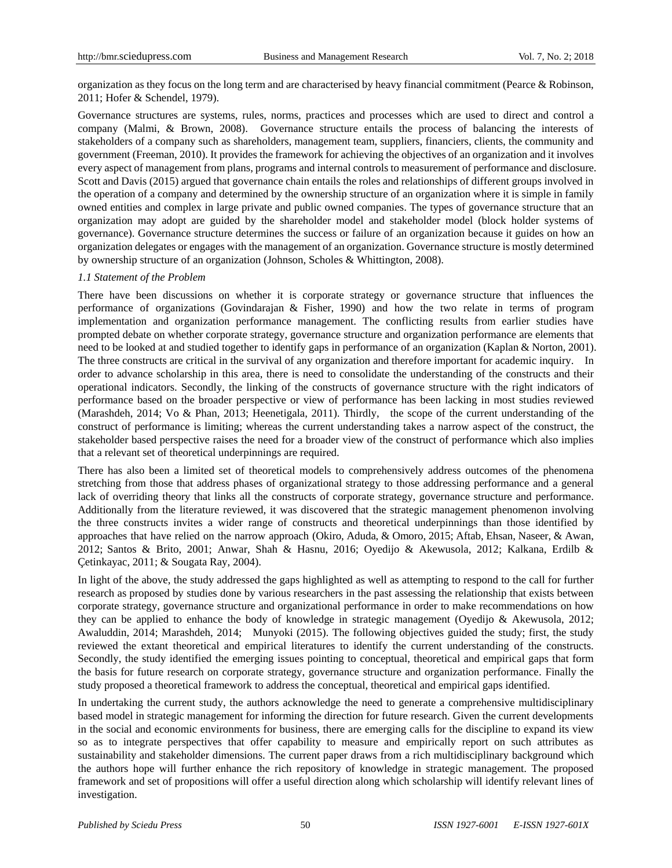organization as they focus on the long term and are characterised by heavy financial commitment (Pearce & Robinson, 2011; Hofer & Schendel, 1979).

Governance structures are systems, rules, norms, practices and processes which are used to direct and control a company (Malmi, & Brown, 2008). Governance structure entails the process of balancing the interests of [stakeholders](http://www.investopedia.com/terms/s/stakeholder.asp) of a company such as shareholders, management team, suppliers, financiers, clients, the community and government (Freeman, 2010). It provides the framework for achieving the objectives of an organization and it involves every aspect of management from plans, programs an[d internal controls](http://www.investopedia.com/terms/i/internalcontrols.asp) to measurement of performance an[d disclosure.](http://www.investopedia.com/terms/d/disclosure.asp) Scott and Davis (2015) argued that governance chain entails the roles and relationships of different groups involved in the operation of a company and determined by the ownership structure of an organization where it is simple in family owned entities and complex in large private and public owned companies. The types of governance structure that an organization may adopt are guided by the shareholder model and stakeholder model (block holder systems of governance). Governance structure determines the success or failure of an organization because it guides on how an organization delegates or engages with the management of an organization. Governance structure is mostly determined by ownership structure of an organization (Johnson, Scholes & Whittington, 2008).

## *1.1 Statement of the Problem*

There have been discussions on whether it is corporate strategy or governance structure that influences the performance of organizations (Govindarajan & Fisher, 1990) and how the two relate in terms of program implementation and organization performance management. The conflicting results from earlier studies have prompted debate on whether corporate strategy, governance structure and organization performance are elements that need to be looked at and studied together to identify gaps in performance of an organization (Kaplan & Norton, 2001). The three constructs are critical in the survival of any organization and therefore important for academic inquiry. In order to advance scholarship in this area, there is need to consolidate the understanding of the constructs and their operational indicators. Secondly, the linking of the constructs of governance structure with the right indicators of performance based on the broader perspective or view of performance has been lacking in most studies reviewed (Marashdeh, 2014; Vo & Phan, 2013; Heenetigala, 2011). Thirdly, the scope of the current understanding of the construct of performance is limiting; whereas the current understanding takes a narrow aspect of the construct, the stakeholder based perspective raises the need for a broader view of the construct of performance which also implies that a relevant set of theoretical underpinnings are required.

There has also been a limited set of theoretical models to comprehensively address outcomes of the phenomena stretching from those that address phases of organizational strategy to those addressing performance and a general lack of overriding theory that links all the constructs of corporate strategy, governance structure and performance. Additionally from the literature reviewed, it was discovered that the strategic management phenomenon involving the three constructs invites a wider range of constructs and theoretical underpinnings than those identified by approaches that have relied on the narrow approach (Okiro, Aduda, & Omoro, 2015; Aftab, Ehsan, Naseer, & Awan, 2012; Santos & Brito, 2001; Anwar, Shah & Hasnu, 2016; Oyedijo & Akewusola, 2012; Kalkana, Erdilb & Çetinkayac, 2011; & Sougata Ray, 2004).

In light of the above, the study addressed the gaps highlighted as well as attempting to respond to the call for further research as proposed by studies done by various researchers in the past assessing the relationship that exists between corporate strategy, governance structure and organizational performance in order to make recommendations on how they can be applied to enhance the body of knowledge in strategic management (Oyedijo & Akewusola, 2012; Awaluddin, 2014; Marashdeh, 2014; Munyoki (2015). The following objectives guided the study; first, the study reviewed the extant theoretical and empirical literatures to identify the current understanding of the constructs. Secondly, the study identified the emerging issues pointing to conceptual, theoretical and empirical gaps that form the basis for future research on corporate strategy, governance structure and organization performance. Finally the study proposed a theoretical framework to address the conceptual, theoretical and empirical gaps identified.

In undertaking the current study, the authors acknowledge the need to generate a comprehensive multidisciplinary based model in strategic management for informing the direction for future research. Given the current developments in the social and economic environments for business, there are emerging calls for the discipline to expand its view so as to integrate perspectives that offer capability to measure and empirically report on such attributes as sustainability and stakeholder dimensions. The current paper draws from a rich multidisciplinary background which the authors hope will further enhance the rich repository of knowledge in strategic management. The proposed framework and set of propositions will offer a useful direction along which scholarship will identify relevant lines of investigation.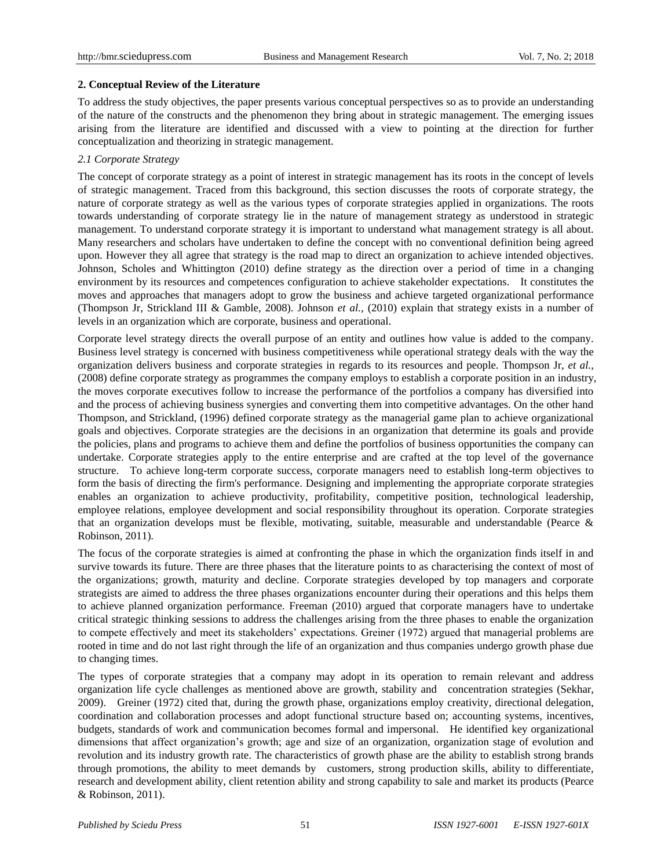## **2. Conceptual Review of the Literature**

To address the study objectives, the paper presents various conceptual perspectives so as to provide an understanding of the nature of the constructs and the phenomenon they bring about in strategic management. The emerging issues arising from the literature are identified and discussed with a view to pointing at the direction for further conceptualization and theorizing in strategic management.

## *2.1 Corporate Strategy*

The concept of corporate strategy as a point of interest in strategic management has its roots in the concept of levels of strategic management. Traced from this background, this section discusses the roots of corporate strategy, the nature of corporate strategy as well as the various types of corporate strategies applied in organizations. The roots towards understanding of corporate strategy lie in the nature of management strategy as understood in strategic management. To understand corporate strategy it is important to understand what management strategy is all about. Many researchers and scholars have undertaken to define the concept with no conventional definition being agreed upon. However they all agree that strategy is the road map to direct an organization to achieve intended objectives. Johnson, Scholes and Whittington (2010) define strategy as the direction over a period of time in a changing environment by its resources and competences configuration to achieve stakeholder expectations. It constitutes the moves and approaches that managers adopt to grow the business and achieve targeted organizational performance (Thompson Jr, Strickland III & Gamble, 2008). Johnson *et al.,* (2010) explain that strategy exists in a number of levels in an organization which are corporate, business and operational.

Corporate level strategy directs the overall purpose of an entity and outlines how value is added to the company. Business level strategy is concerned with business competitiveness while operational strategy deals with the way the organization delivers business and corporate strategies in regards to its resources and people. Thompson Jr, *et al.*, (2008) define corporate strategy as programmes the company employs to establish a corporate position in an industry, the moves corporate executives follow to increase the performance of the portfolios a company has diversified into and the process of achieving business synergies and converting them into competitive advantages. On the other hand Thompson, and Strickland, (1996) defined corporate strategy as the managerial game plan to achieve organizational goals and objectives. Corporate strategies are the decisions in an organization that determine its goals and provide the policies, plans and programs to achieve them and define the portfolios of business opportunities the company can undertake. Corporate strategies apply to the entire enterprise and are crafted at the top level of the governance structure. To achieve long-term corporate success, corporate managers need to establish long-term objectives to form the basis of directing the firm's performance. Designing and implementing the appropriate corporate strategies enables an organization to achieve productivity, profitability, competitive position, technological leadership, employee relations, employee development and social responsibility throughout its operation. Corporate strategies that an organization develops must be flexible, motivating, suitable, measurable and understandable (Pearce & Robinson, 2011).

The focus of the corporate strategies is aimed at confronting the phase in which the organization finds itself in and survive towards its future. There are three phases that the literature points to as characterising the context of most of the organizations; growth, maturity and decline. Corporate strategies developed by top managers and corporate strategists are aimed to address the three phases organizations encounter during their operations and this helps them to achieve planned organization performance. Freeman (2010) argued that corporate managers have to undertake critical strategic thinking sessions to address the challenges arising from the three phases to enable the organization to compete effectively and meet its stakeholders' expectations. Greiner (1972) argued that managerial problems are rooted in time and do not last right through the life of an organization and thus companies undergo growth phase due to changing times.

The types of corporate strategies that a company may adopt in its operation to remain relevant and address organization life cycle challenges as mentioned above are growth, stability and concentration strategies (Sekhar, 2009). Greiner (1972) cited that, during the growth phase, organizations employ creativity, directional delegation, coordination and collaboration processes and adopt functional structure based on; accounting systems, incentives, budgets, standards of work and communication becomes formal and impersonal. He identified key organizational dimensions that affect organization's growth; age and size of an organization, organization stage of evolution and revolution and its industry growth rate. The characteristics of growth phase are the ability to establish strong brands through promotions, the ability to meet demands by customers, strong production skills, ability to differentiate, research and development ability, client retention ability and strong capability to sale and market its products (Pearce & Robinson, 2011).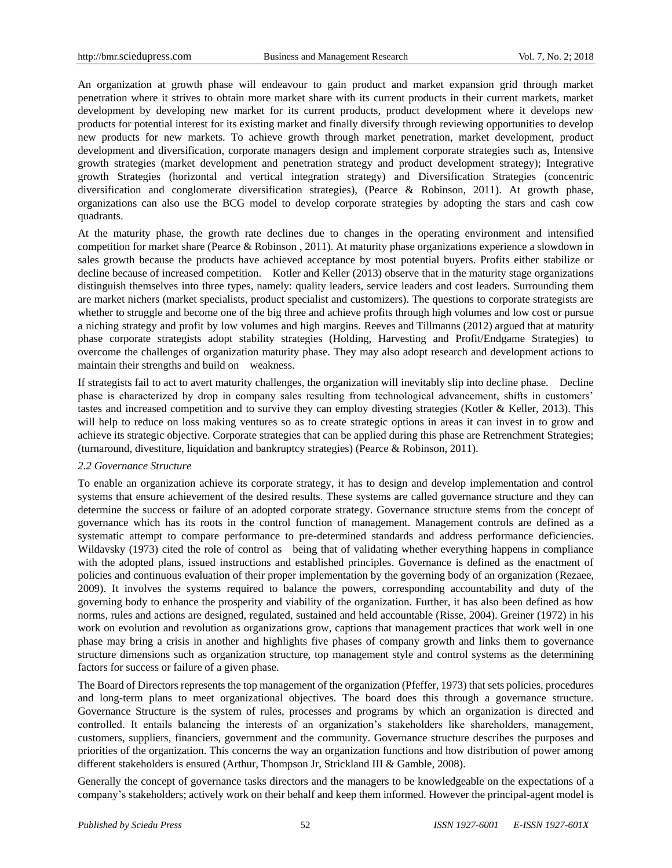An organization at growth phase will endeavour to gain product and market expansion grid through market penetration where it strives to obtain more market share with its current products in their current markets, market development by developing new market for its current products, product development where it develops new products for potential interest for its existing market and finally diversify through reviewing opportunities to develop new products for new markets. To achieve growth through market penetration, market development, product development and diversification, corporate managers design and implement corporate strategies such as, Intensive growth strategies (market development and penetration strategy and product development strategy); Integrative growth Strategies (horizontal and vertical integration strategy) and Diversification Strategies (concentric diversification and conglomerate diversification strategies), (Pearce & Robinson, 2011). At growth phase, organizations can also use the BCG model to develop corporate strategies by adopting the stars and cash cow quadrants.

At the maturity phase, the growth rate declines due to changes in the operating environment and intensified competition for market share (Pearce & Robinson , 2011). At maturity phase organizations experience a slowdown in sales growth because the products have achieved acceptance by most potential buyers. Profits either stabilize or decline because of increased competition. Kotler and Keller (2013) observe that in the maturity stage organizations distinguish themselves into three types, namely: quality leaders, service leaders and cost leaders. Surrounding them are market nichers (market specialists, product specialist and customizers). The questions to corporate strategists are whether to struggle and become one of the big three and achieve profits through high volumes and low cost or pursue a niching strategy and profit by low volumes and high margins. Reeves and Tillmanns (2012) argued that at maturity phase corporate strategists adopt stability strategies (Holding, Harvesting and Profit/Endgame Strategies) to overcome the challenges of organization maturity phase. They may also adopt research and development actions to maintain their strengths and build on weakness.

If strategists fail to act to avert maturity challenges, the organization will inevitably slip into decline phase. Decline phase is characterized by drop in company sales resulting from technological advancement, shifts in customers' tastes and increased competition and to survive they can employ divesting strategies (Kotler & Keller, 2013). This will help to reduce on loss making ventures so as to create strategic options in areas it can invest in to grow and achieve its strategic objective. Corporate strategies that can be applied during this phase are Retrenchment Strategies; (turnaround, divestiture, liquidation and bankruptcy strategies) (Pearce & Robinson, 2011).

## *2.2 Governance Structure*

To enable an organization achieve its corporate strategy, it has to design and develop implementation and control systems that ensure achievement of the desired results. These systems are called governance structure and they can determine the success or failure of an adopted corporate strategy. Governance structure stems from the concept of governance which has its roots in the control function of management. Management controls are defined as a systematic attempt to compare performance to pre-determined standards and address performance deficiencies. Wildavsky (1973) cited the role of control as being that of validating whether everything happens in compliance with the adopted plans, issued instructions and established principles. Governance is defined as the enactment of policies and continuous evaluation of their proper implementation by the governing body of an organization (Rezaee, 2009). It involves the systems required to balance the powers, corresponding accountability and duty of the governing body to enhance the prosperity and viability of the organization. Further, it has also been defined as how norms, rules and actions are designed, regulated, sustained and held accountable (Risse, 2004). Greiner (1972) in his work on evolution and revolution as organizations grow, captions that management practices that work well in one phase may bring a crisis in another and highlights five phases of company growth and links them to governance structure dimensions such as organization structure, top management style and control systems as the determining factors for success or failure of a given phase.

The Board of Directors represents the top management of the organization (Pfeffer, 1973) that sets policies, procedures and long-term plans to meet organizational objectives. The board does this through a governance structure. Governance Structure is the system of rules, processes and programs by which an organization is directed and controlled. It entails balancing the interests of an organization's stakeholders like shareholders, management, customers, suppliers, financiers, government and the community. Governance structure describes the purposes and priorities of the organization. This concerns the way an organization functions and how distribution of power among different stakeholders is ensured (Arthur, Thompson Jr, Strickland III & Gamble, 2008).

Generally the concept of governance tasks directors and the managers to be knowledgeable on the expectations of a company's stakeholders; actively work on their behalf and keep them informed. However the principal-agent model is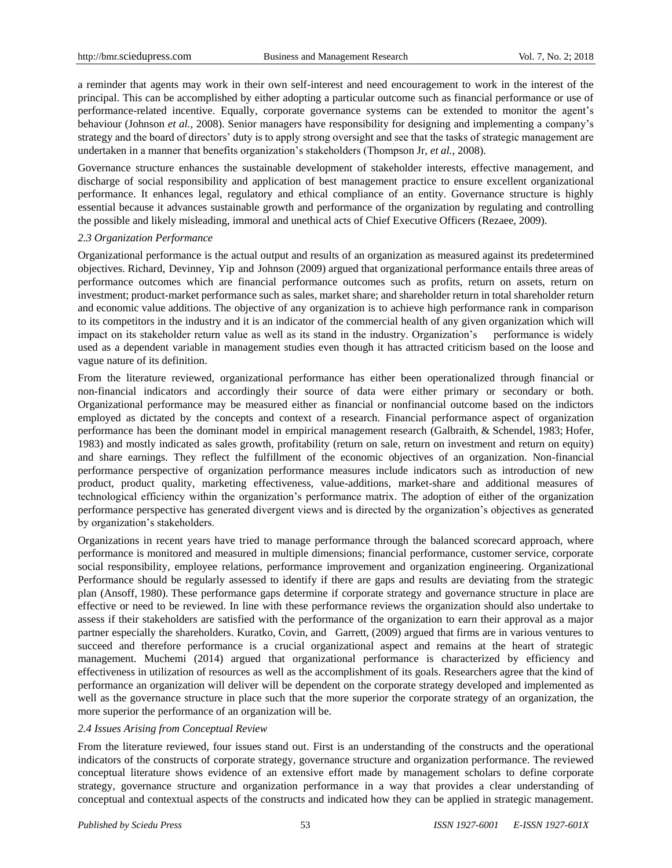a reminder that agents may work in their own self-interest and need encouragement to work in the interest of the principal. This can be accomplished by either adopting a particular outcome such as financial performance or use of performance-related incentive. Equally, corporate governance systems can be extended to monitor the agent's behaviour (Johnson *et al.,* 2008). Senior managers have responsibility for designing and implementing a company's strategy and the board of directors' duty is to apply strong oversight and see that the tasks of strategic management are undertaken in a manner that benefits organization's stakeholders (Thompson Jr, *et al.,* 2008).

Governance structure enhances the sustainable development of stakeholder interests, effective management, and discharge of social responsibility and application of best management practice to ensure excellent organizational performance. It enhances legal, regulatory and ethical compliance of an entity. Governance structure is highly essential because it advances sustainable growth and performance of the organization by regulating and controlling the possible and likely misleading, immoral and unethical acts of Chief Executive Officers (Rezaee, 2009).

## *2.3 Organization Performance*

Organizational performance is the actual output and results of an organization as measured against its predetermined objectives. Richard, Devinney, Yip and Johnson (2009) argued that organizational performance entails three areas of performance outcomes which are financial performance outcomes such as profits, return on assets, return on investment; product-market performance such as sales, market share; and shareholder return in total shareholder return and economic value additions. The objective of any organization is to achieve high performance rank in comparison to its competitors in the industry and it is an indicator of the commercial health of any given organization which will impact on its stakeholder return value as well as its stand in the industry. Organization's performance is widely used as a dependent variable in management studies even though it has attracted criticism based on the loose and vague nature of its definition.

From the literature reviewed, organizational performance has either been operationalized through financial or non-financial indicators and accordingly their source of data were either primary or secondary or both. Organizational performance may be measured either as financial or nonfinancial outcome based on the indictors employed as dictated by the concepts and context of a research. Financial performance aspect of organization performance has been the dominant model in empirical management research (Galbraith, & Schendel, 1983; [Hofer,](http://amr.aom.org/content/11/4/801.full#ref-23)  [1983\)](http://amr.aom.org/content/11/4/801.full#ref-23) and mostly indicated as sales growth, profitability (return on sale, return on investment and return on equity) and share earnings. They reflect the fulfillment of the economic objectives of an organization. Non-financial performance perspective of organization performance measures include indicators such as introduction of new product, product quality, marketing effectiveness, value-additions, market-share and additional measures of technological efficiency within the organization's performance matrix. The adoption of either of the organization performance perspective has generated divergent views and is directed by the organization's objectives as generated by organization's stakeholders.

Organizations in recent years have tried to manage performance through the [balanced scorecard](https://en.wikipedia.org/wiki/Balanced_scorecard) approach, where performance is monitored and measured in multiple dimensions; financial performance, customer service, corporate social responsibility, employee relations, performance improvement and organization engineering. Organizational Performance should be regularly assessed to identify if there are gaps and results are deviating from the strategic plan (Ansoff, 1980). These performance gaps determine if corporate strategy and governance structure in place are effective or need to be reviewed. In line with these performance reviews the organization should also undertake to assess if their stakeholders are satisfied with the performance of the organization to earn their approval as a major partner especially the shareholders. Kuratko, Covin, and Garrett, (2009) argued that firms are in various ventures to succeed and therefore performance is a crucial organizational aspect and remains at the heart of strategic management. Muchemi (2014) argued that organizational performance is characterized by efficiency and effectiveness in utilization of resources as well as the accomplishment of its goals. Researchers agree that the kind of performance an organization will deliver will be dependent on the corporate strategy developed and implemented as well as the governance structure in place such that the more superior the corporate strategy of an organization, the more superior the performance of an organization will be.

## *2.4 Issues Arising from Conceptual Review*

From the literature reviewed, four issues stand out. First is an understanding of the constructs and the operational indicators of the constructs of corporate strategy, governance structure and organization performance. The reviewed conceptual literature shows evidence of an extensive effort made by management scholars to define corporate strategy, governance structure and organization performance in a way that provides a clear understanding of conceptual and contextual aspects of the constructs and indicated how they can be applied in strategic management.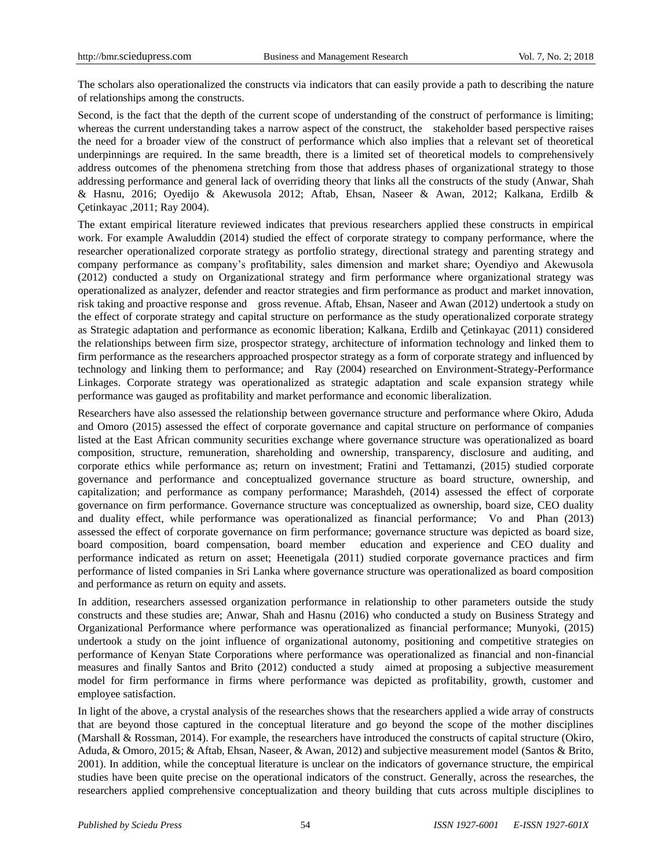The scholars also operationalized the constructs via indicators that can easily provide a path to describing the nature of relationships among the constructs.

Second, is the fact that the depth of the current scope of understanding of the construct of performance is limiting; whereas the current understanding takes a narrow aspect of the construct, the stakeholder based perspective raises the need for a broader view of the construct of performance which also implies that a relevant set of theoretical underpinnings are required. In the same breadth, there is a limited set of theoretical models to comprehensively address outcomes of the phenomena stretching from those that address phases of organizational strategy to those addressing performance and general lack of overriding theory that links all the constructs of the study (Anwar, Shah & Hasnu, 2016; Oyedijo & Akewusola 2012; Aftab, Ehsan, Naseer & Awan, 2012; Kalkana, Erdilb & Çetinkayac ,2011; Ray 2004).

The extant empirical literature reviewed indicates that previous researchers applied these constructs in empirical work. For example Awaluddin (2014) studied the effect of corporate strategy to company performance, where the researcher operationalized corporate strategy as portfolio strategy, directional strategy and parenting strategy and company performance as company's profitability, sales dimension and market share; Oyendiyo and Akewusola (2012) conducted a study on Organizational strategy and firm performance where organizational strategy was operationalized as analyzer, defender and reactor strategies and firm performance as product and market innovation, risk taking and proactive response and gross revenue. Aftab, Ehsan, Naseer and Awan (2012) undertook a study on the effect of corporate strategy and capital structure on performance as the study operationalized corporate strategy as Strategic adaptation and performance as economic liberation; Kalkana, Erdilb and Çetinkayac (2011) considered the relationships between firm size, prospector strategy, architecture of information technology and linked them to firm performance as the researchers approached prospector strategy as a form of corporate strategy and influenced by technology and linking them to performance; and Ray (2004) researched on Environment-Strategy-Performance Linkages. Corporate strategy was operationalized as strategic adaptation and scale expansion strategy while performance was gauged as profitability and market performance and economic liberalization.

Researchers have also assessed the relationship between governance structure and performance where Okiro, Aduda and Omoro (2015) assessed the effect of corporate governance and capital structure on performance of companies listed at the East African community securities exchange where governance structure was operationalized as board composition, structure, remuneration, shareholding and ownership, transparency, disclosure and auditing, and corporate ethics while performance as; return on investment; Fratini and Tettamanzi, (2015) studied corporate governance and performance and conceptualized governance structure as board structure, ownership, and capitalization; and performance as company performance; Marashdeh, (2014) assessed the effect of corporate governance on firm performance. Governance structure was conceptualized as ownership, board size, CEO duality and duality effect, while performance was operationalized as financial performance; Vo and Phan (2013) assessed the effect of corporate governance on firm performance; governance structure was depicted as board size, board composition, board compensation, board member education and experience and CEO duality and performance indicated as return on asset; Heenetigala (2011) studied corporate governance practices and firm performance of listed companies in Sri Lanka where governance structure was operationalized as board composition and performance as return on equity and assets.

In addition, researchers assessed organization performance in relationship to other parameters outside the study constructs and these studies are; Anwar, Shah and Hasnu (2016) who conducted a study on Business Strategy and Organizational Performance where performance was operationalized as financial performance; Munyoki, (2015) undertook a study on the joint influence of organizational autonomy, positioning and competitive strategies on performance of Kenyan State Corporations where performance was operationalized as financial and non-financial measures and finally Santos and Brito (2012) conducted a study aimed at proposing a subjective measurement model for firm performance in firms where performance was depicted as profitability, growth, customer and employee satisfaction.

In light of the above, a crystal analysis of the researches shows that the researchers applied a wide array of constructs that are beyond those captured in the conceptual literature and go beyond the scope of the mother disciplines (Marshall & Rossman, 2014). For example, the researchers have introduced the constructs of capital structure (Okiro, Aduda, & Omoro, 2015; & Aftab, Ehsan, Naseer, & Awan, 2012) and subjective measurement model (Santos & Brito, 2001). In addition, while the conceptual literature is unclear on the indicators of governance structure, the empirical studies have been quite precise on the operational indicators of the construct. Generally, across the researches, the researchers applied comprehensive conceptualization and theory building that cuts across multiple disciplines to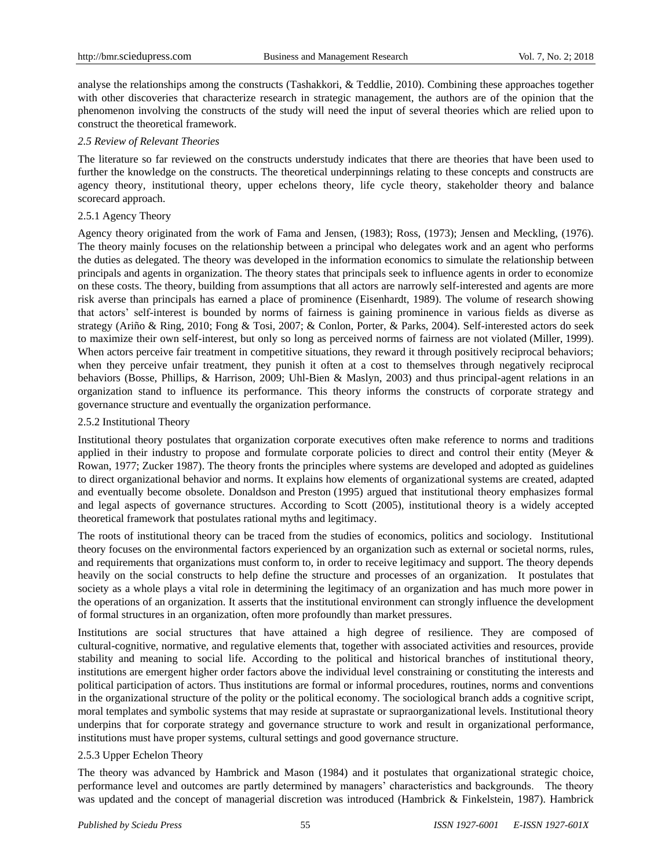analyse the relationships among the constructs (Tashakkori, & Teddlie, 2010). Combining these approaches together with other discoveries that characterize research in strategic management, the authors are of the opinion that the phenomenon involving the constructs of the study will need the input of several theories which are relied upon to construct the theoretical framework.

## *2.5 Review of Relevant Theories*

The literature so far reviewed on the constructs understudy indicates that there are theories that have been used to further the knowledge on the constructs. The theoretical underpinnings relating to these concepts and constructs are agency theory, institutional theory, upper echelons theory, life cycle theory, stakeholder theory and balance scorecard approach.

## 2.5.1 Agency Theory

Agency theory originated from the work of Fama and Jensen, (1983); Ross, (1973); Jensen and Meckling, (1976). The theory mainly focuses on the relationship between a principal who delegates work and an agent who performs the duties as delegated. The theory was developed in the information economics to simulate the relationship between principals and agents in organization. The theory states that principals seek to influence agents in order to economize on these costs. The theory, building from assumptions that all actors are narrowly self-interested and agents are more risk averse than principals has earned a place of prominence (Eisenhardt, 1989). The volume of research showing that actors' self-interest is bounded by norms of fairness is gaining prominence in various fields as diverse as strategy (Ariño & Ring, 2010; Fong & Tosi, 2007; & Conlon, Porter, & Parks, 2004). Self-interested actors do seek to maximize their own self-interest, but only so long as perceived norms of fairness are not violated (Miller, 1999). When actors perceive fair treatment in competitive situations, they reward it through positively reciprocal behaviors; when they perceive unfair treatment, they punish it often at a cost to themselves through negatively reciprocal behaviors (Bosse, Phillips, & Harrison, 2009; Uhl-Bien & Maslyn, 2003) and thus principal-agent relations in an organization stand to influence its performance. This theory informs the constructs of corporate strategy and governance structure and eventually the organization performance.

## 2.5.2 Institutional Theory

Institutional theory postulates that organization corporate executives often make reference to norms and traditions applied in their industry to propose and formulate corporate policies to direct and control their entity (Meyer & Rowan, 1977; Zucker 1987). The theory fronts the principles where systems are developed and adopted as guidelines to direct organizational behavior and norms. It explains how elements of organizational systems are created, adapted and eventually become obsolete. Donaldson and Preston (1995) argued that institutional theory emphasizes formal and legal aspects of governance structures. According to Scott (2005), institutional theory is a widely accepted theoretical framework that postulates rational myths and legitimacy.

The roots of institutional theory can be traced from the studies of economics, politics and sociology. Institutional theory focuses on the environmental factors experienced by an organization such as external or societal norms, rules, and requirements that organizations must conform to, in order to receive legitimacy and support. The theory depends heavily on the social constructs to help define the structure and processes of an organization. It postulates that society as a whole plays a vital role in determining the legitimacy of an organization and has much more power in the operations of an organization. It asserts that the institutional environment can strongly influence the development of formal structures in an organization, often more profoundly than market pressures.

Institutions are social structures that have attained a high degree of resilience. They are composed of cultural-cognitive, normative, and regulative elements that, together with associated activities and resources, provide stability and meaning to social life. According to the political and historical branches of institutional theory, institutions are emergent higher order factors above the individual level constraining or constituting the interests and political participation of actors. Thus institutions are formal or informal procedures, routines, norms and conventions in the organizational structure of the polity or the political economy. The sociological branch adds a cognitive script, moral templates and symbolic systems that may reside at suprastate or supraorganizational levels. Institutional theory underpins that for corporate strategy and governance structure to work and result in organizational performance, institutions must have proper systems, cultural settings and good governance structure.

## 2.5.3 Upper Echelon Theory

The theory was advanced by Hambrick and Mason (1984) and it postulates that organizational strategic choice, performance level and outcomes are partly determined by managers' characteristics and backgrounds. The theory was updated and the concept of managerial discretion was introduced (Hambrick & Finkelstein, 1987). Hambrick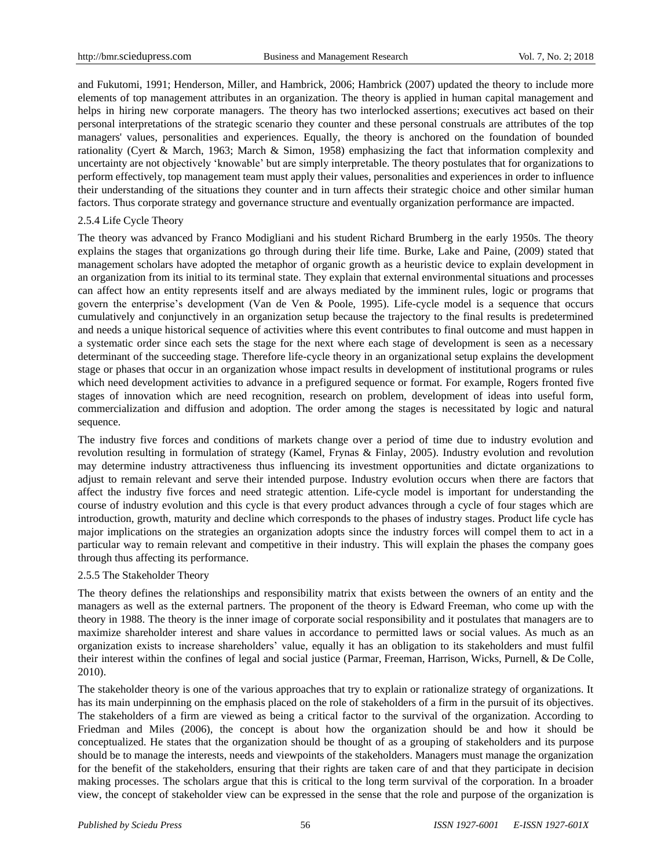and Fukutomi, 1991; Henderson, Miller, and Hambrick, 2006; Hambrick (2007) updated the theory to include more elements of top management attributes in an organization. The theory is applied in human capital management and helps in hiring new corporate managers. The theory has two interlocked assertions; executives act based on their personal interpretations of the strategic scenario they counter and these personal construals are attributes of the top managers' values, personalities and experiences. Equally, the theory is anchored on the foundation of bounded rationality [\(Cyert & March, 1963;](http://amr.aom.org/content/32/2/334.full#ref-8) [March & Simon, 1958\)](http://amr.aom.org/content/32/2/334.full#ref-38) emphasizing the fact that information complexity and uncertainty are not objectively 'knowable' but are simply interpretable. The theory postulates that for organizations to perform effectively, top management team must apply their values, personalities and experiences in order to influence their understanding of the situations they counter and in turn affects their strategic choice and other similar human factors. Thus corporate strategy and governance structure and eventually organization performance are impacted.

## 2.5.4 Life Cycle Theory

The theory was advanced by Franco Modigliani and his student Richard Brumberg in the early 1950s. The theory explains the stages that organizations go through during their life time. Burke, Lake and Paine, (2009) stated that management scholars have adopted the metaphor of organic growth as a heuristic device to explain development in an organization from its initial to its terminal state. They explain that external environmental situations and processes can affect how an entity represents itself and are always mediated by the imminent rules, logic or programs that govern the enterprise's development (Van de Ven & Poole, 1995). Life-cycle model is a sequence that occurs cumulatively and conjunctively in an organization setup because the trajectory to the final results is predetermined and needs a unique historical sequence of activities where this event contributes to final outcome and must happen in a systematic order since each sets the stage for the next where each stage of development is seen as a necessary determinant of the succeeding stage. Therefore life-cycle theory in an organizational setup explains the development stage or phases that occur in an organization whose impact results in development of institutional programs or rules which need development activities to advance in a prefigured sequence or format. For example, Rogers fronted five stages of innovation which are need recognition, research on problem, development of ideas into useful form, commercialization and diffusion and adoption. The order among the stages is necessitated by logic and natural sequence.

The industry five forces and conditions of markets change over a period of time due to industry evolution and revolution resulting in formulation of strategy (Kamel, Frynas & Finlay, 2005). Industry evolution and revolution may determine industry attractiveness thus influencing its investment opportunities and dictate organizations to adjust to remain relevant and serve their intended purpose. Industry evolution occurs when there are factors that affect the industry five forces and need strategic attention. Life-cycle model is important for understanding the course of industry evolution and this cycle is that every product advances through a cycle of four stages which are introduction, growth, maturity and decline which corresponds to the phases of industry stages. Product life cycle has major implications on the strategies an organization adopts since the industry forces will compel them to act in a particular way to remain relevant and competitive in their industry. This will explain the phases the company goes through thus affecting its performance.

#### 2.5.5 The Stakeholder Theory

The theory defines the relationships and responsibility matrix that exists between the owners of an entity and the managers as well as the external partners. The proponent of the theory is Edward Freeman, who come up with the theory in 1988. The theory is the inner image of corporate social responsibility and it postulates that managers are to maximize shareholder interest and share values in accordance to permitted laws or social values. As much as an organization exists to increase shareholders' value, equally it has an obligation to its stakeholders and must fulfil their interest within the confines of legal and social justice (Parmar, Freeman, Harrison, Wicks, Purnell, & De Colle, 2010).

The stakeholder theory is one of the various approaches that try to explain or rationalize strategy of organizations. It has its main underpinning on the emphasis placed on the role of stakeholders of a firm in the pursuit of its objectives. The stakeholders of a firm are viewed as being a critical factor to the survival of the organization. According to Friedman and Miles (2006), the concept is about how the organization should be and how it should be conceptualized. He states that the organization should be thought of as a grouping of stakeholders and its purpose should be to manage the interests, needs and viewpoints of the stakeholders. Managers must manage the organization for the benefit of the stakeholders, ensuring that their rights are taken care of and that they participate in decision making processes. The scholars argue that this is critical to the long term survival of the corporation. In a broader view, the concept of stakeholder view can be expressed in the sense that the role and purpose of the organization is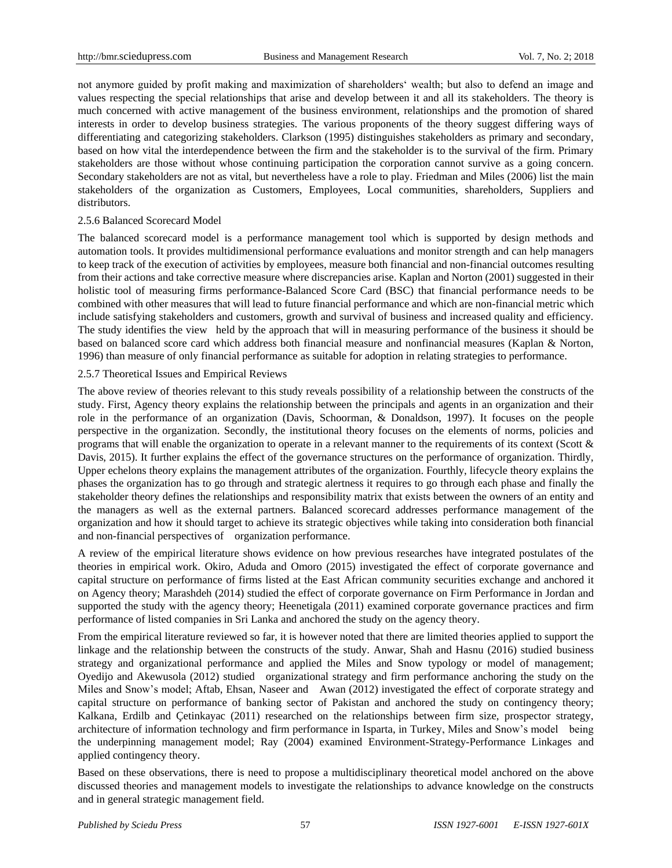not anymore guided by profit making and maximization of shareholders' wealth; but also to defend an image and values respecting the special relationships that arise and develop between it and all its stakeholders. The theory is much concerned with active management of the business environment, relationships and the promotion of shared interests in order to develop business strategies. The various proponents of the theory suggest differing ways of differentiating and categorizing stakeholders. Clarkson (1995) distinguishes stakeholders as primary and secondary, based on how vital the interdependence between the firm and the stakeholder is to the survival of the firm. Primary stakeholders are those without whose continuing participation the corporation cannot survive as a going concern. Secondary stakeholders are not as vital, but nevertheless have a role to play. Friedman and Miles (2006) list the main stakeholders of the organization as Customers, Employees, Local communities, shareholders, Suppliers and distributors.

## 2.5.6 Balanced Scorecard Model

The balanced scorecard model is a performance management tool which is supported by design methods and automation tools. It provides multidimensional performance evaluations and monitor strength and can help managers to keep track of the execution of activities by employees, measure both financial and non-financial outcomes resulting from their actions and take corrective measure where discrepancies arise. Kaplan and Norton (2001) suggested in their holistic tool of measuring firms performance-Balanced Score Card (BSC) that financial performance needs to be combined with other measures that will lead to future financial performance and which are non-financial metric which include satisfying stakeholders and customers, growth and survival of business and increased quality and efficiency. The study identifies the view held by the approach that will in measuring performance of the business it should be based on balanced score card which address both financial measure and nonfinancial measures (Kaplan & Norton, 1996) than measure of only financial performance as suitable for adoption in relating strategies to performance.

## 2.5.7 Theoretical Issues and Empirical Reviews

The above review of theories relevant to this study reveals possibility of a relationship between the constructs of the study. First, Agency theory explains the relationship between the principals and agents in an organization and their role in the performance of an organization (Davis, Schoorman, & Donaldson, 1997). It focuses on the people perspective in the organization. Secondly, the institutional theory focuses on the elements of norms, policies and programs that will enable the organization to operate in a relevant manner to the requirements of its context (Scott & Davis, 2015). It further explains the effect of the governance structures on the performance of organization. Thirdly, Upper echelons theory explains the management attributes of the organization. Fourthly, lifecycle theory explains the phases the organization has to go through and strategic alertness it requires to go through each phase and finally the stakeholder theory defines the relationships and responsibility matrix that exists between the owners of an entity and the managers as well as the external partners. Balanced scorecard addresses performance management of the organization and how it should target to achieve its strategic objectives while taking into consideration both financial and non-financial perspectives of organization performance.

A review of the empirical literature shows evidence on how previous researches have integrated postulates of the theories in empirical work. Okiro, Aduda and Omoro (2015) investigated the effect of corporate governance and capital structure on performance of firms listed at the East African community securities exchange and anchored it on Agency theory; Marashdeh (2014) studied the effect of corporate governance on Firm Performance in Jordan and supported the study with the agency theory; Heenetigala (2011) examined corporate governance practices and firm performance of listed companies in Sri Lanka and anchored the study on the agency theory.

From the empirical literature reviewed so far, it is however noted that there are limited theories applied to support the linkage and the relationship between the constructs of the study. Anwar, Shah and Hasnu (2016) studied business strategy and organizational performance and applied the Miles and Snow typology or model of management; Oyedijo and Akewusola (2012) studied organizational strategy and firm performance anchoring the study on the Miles and Snow's model; Aftab, Ehsan, Naseer and Awan (2012) investigated the effect of corporate strategy and capital structure on performance of banking sector of Pakistan and anchored the study on contingency theory; Kalkana, Erdilb and Çetinkayac (2011) researched on the relationships between firm size, prospector strategy, architecture of information technology and firm performance in Isparta, in Turkey, Miles and Snow's model being the underpinning management model; Ray (2004) examined Environment-Strategy-Performance Linkages and applied contingency theory.

Based on these observations, there is need to propose a multidisciplinary theoretical model anchored on the above discussed theories and management models to investigate the relationships to advance knowledge on the constructs and in general strategic management field.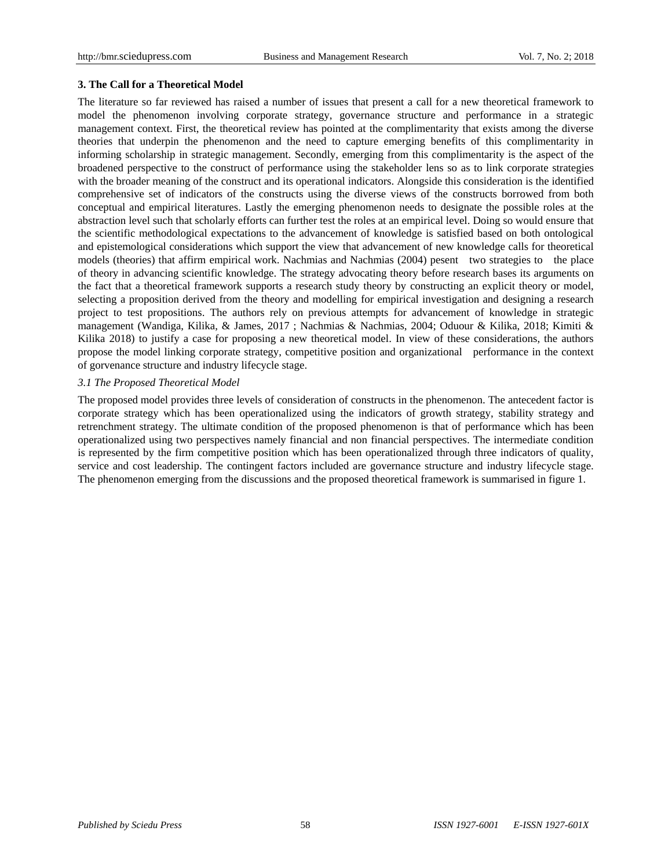## **3. The Call for a Theoretical Model**

The literature so far reviewed has raised a number of issues that present a call for a new theoretical framework to model the phenomenon involving corporate strategy, governance structure and performance in a strategic management context. First, the theoretical review has pointed at the complimentarity that exists among the diverse theories that underpin the phenomenon and the need to capture emerging benefits of this complimentarity in informing scholarship in strategic management. Secondly, emerging from this complimentarity is the aspect of the broadened perspective to the construct of performance using the stakeholder lens so as to link corporate strategies with the broader meaning of the construct and its operational indicators. Alongside this consideration is the identified comprehensive set of indicators of the constructs using the diverse views of the constructs borrowed from both conceptual and empirical literatures. Lastly the emerging phenomenon needs to designate the possible roles at the abstraction level such that scholarly efforts can further test the roles at an empirical level. Doing so would ensure that the scientific methodological expectations to the advancement of knowledge is satisfied based on both ontological and epistemological considerations which support the view that advancement of new knowledge calls for theoretical models (theories) that affirm empirical work. Nachmias and Nachmias (2004) pesent two strategies to the place of theory in advancing scientific knowledge. The strategy advocating theory before research bases its arguments on the fact that a theoretical framework supports a research study theory by constructing an explicit theory or model, selecting a proposition derived from the theory and modelling for empirical investigation and designing a research project to test propositions. The authors rely on previous attempts for advancement of knowledge in strategic management (Wandiga, Kilika, & James, 2017 ; Nachmias & Nachmias, 2004; Oduour & Kilika, 2018; Kimiti & Kilika 2018) to justify a case for proposing a new theoretical model. In view of these considerations, the authors propose the model linking corporate strategy, competitive position and organizational performance in the context of gorvenance structure and industry lifecycle stage.

## *3.1 The Proposed Theoretical Model*

The proposed model provides three levels of consideration of constructs in the phenomenon. The antecedent factor is corporate strategy which has been operationalized using the indicators of growth strategy, stability strategy and retrenchment strategy. The ultimate condition of the proposed phenomenon is that of performance which has been operationalized using two perspectives namely financial and non financial perspectives. The intermediate condition is represented by the firm competitive position which has been operationalized through three indicators of quality, service and cost leadership. The contingent factors included are governance structure and industry lifecycle stage. The phenomenon emerging from the discussions and the proposed theoretical framework is summarised in figure 1.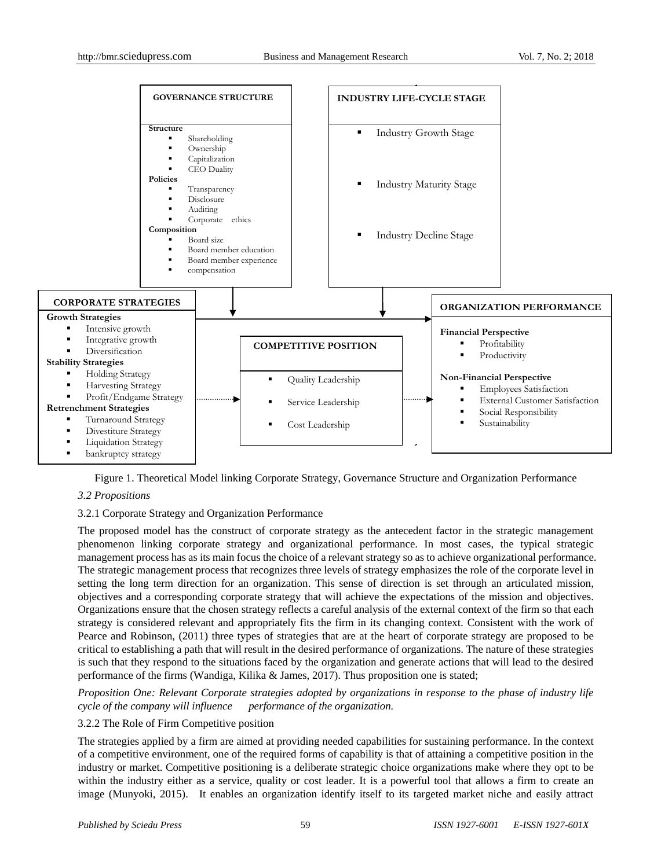

Figure 1. Theoretical Model linking Corporate Strategy, Governance Structure and Organization Performance

#### *3.2 Propositions*

#### 3.2.1 Corporate Strategy and Organization Performance

The proposed model has the construct of corporate strategy as the antecedent factor in the strategic management phenomenon linking corporate strategy and organizational performance. In most cases, the typical strategic management process has as its main focus the choice of a relevant strategy so as to achieve organizational performance. The strategic management process that recognizes three levels of strategy emphasizes the role of the corporate level in setting the long term direction for an organization. This sense of direction is set through an articulated mission, objectives and a corresponding corporate strategy that will achieve the expectations of the mission and objectives. Organizations ensure that the chosen strategy reflects a careful analysis of the external context of the firm so that each strategy is considered relevant and appropriately fits the firm in its changing context. Consistent with the work of Pearce and Robinson, (2011) three types of strategies that are at the heart of corporate strategy are proposed to be critical to establishing a path that will result in the desired performance of organizations. The nature of these strategies is such that they respond to the situations faced by the organization and generate actions that will lead to the desired performance of the firms (Wandiga, Kilika & James, 2017). Thus proposition one is stated;

*Proposition One: Relevant Corporate strategies adopted by organizations in response to the phase of industry life cycle of the company will influence performance of the organization.* 

#### 3.2.2 The Role of Firm Competitive position

The strategies applied by a firm are aimed at providing needed capabilities for sustaining performance. In the context of a competitive environment, one of the required forms of capability is that of attaining a competitive position in the industry or market. Competitive positioning is a deliberate strategic choice organizations make where they opt to be within the industry either as a service, quality or cost leader. It is a powerful tool that allows a firm to create an image (Munyoki, 2015). It enables an organization identify itself to its targeted market niche and easily attract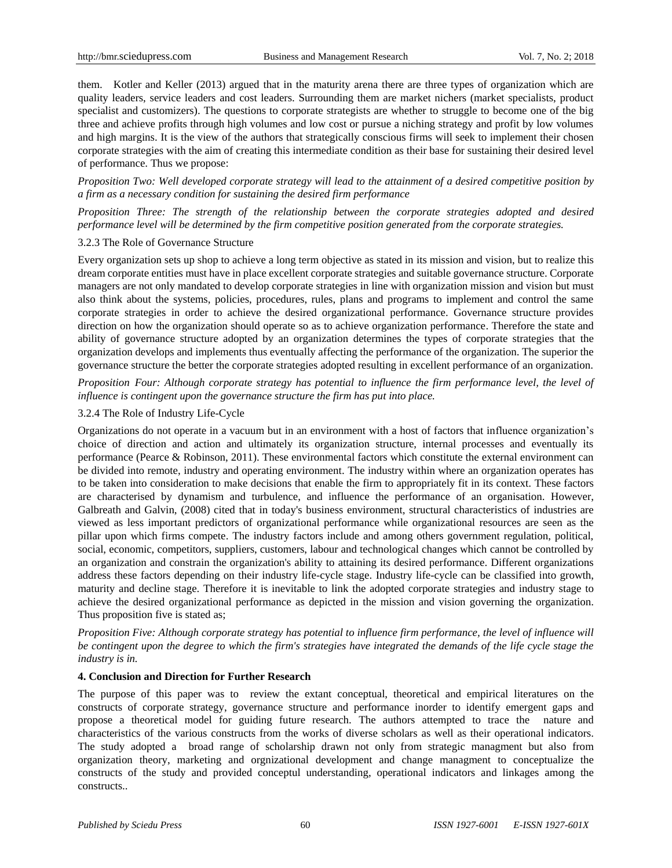them. Kotler and Keller (2013) argued that in the maturity arena there are three types of organization which are quality leaders, service leaders and cost leaders. Surrounding them are market nichers (market specialists, product specialist and customizers). The questions to corporate strategists are whether to struggle to become one of the big three and achieve profits through high volumes and low cost or pursue a niching strategy and profit by low volumes and high margins. It is the view of the authors that strategically conscious firms will seek to implement their chosen corporate strategies with the aim of creating this intermediate condition as their base for sustaining their desired level of performance. Thus we propose:

*Proposition Two: Well developed corporate strategy will lead to the attainment of a desired competitive position by a firm as a necessary condition for sustaining the desired firm performance*

*Proposition Three: The strength of the relationship between the corporate strategies adopted and desired performance level will be determined by the firm competitive position generated from the corporate strategies.*

#### 3.2.3 The Role of Governance Structure

Every organization sets up shop to achieve a long term objective as stated in its mission and vision, but to realize this dream corporate entities must have in place excellent corporate strategies and suitable governance structure. Corporate managers are not only mandated to develop corporate strategies in line with organization mission and vision but must also think about the systems, policies, procedures, rules, plans and programs to implement and control the same corporate strategies in order to achieve the desired organizational performance. Governance structure provides direction on how the organization should operate so as to achieve organization performance. Therefore the state and ability of governance structure adopted by an organization determines the types of corporate strategies that the organization develops and implements thus eventually affecting the performance of the organization. The superior the governance structure the better the corporate strategies adopted resulting in excellent performance of an organization.

*Proposition Four: Although corporate strategy has potential to influence the firm performance level, the level of influence is contingent upon the governance structure the firm has put into place.*

#### 3.2.4 The Role of Industry Life-Cycle

Organizations do not operate in a vacuum but in an environment with a host of factors that influence organization's choice of direction and action and ultimately its organization structure, internal processes and eventually its performance (Pearce & Robinson, 2011). These environmental factors which constitute the external environment can be divided into remote, industry and operating environment. The industry within where an organization operates has to be taken into consideration to make decisions that enable the firm to appropriately fit in its context. These factors are characterised by dynamism and turbulence, and influence the performance of an organisation. However, Galbreath and Galvin, (2008) cited that in today's business environment, structural characteristics of industries are viewed as less important predictors of organizational performance while organizational resources are seen as the pillar upon which firms compete. The industry factors include and among others government regulation, political, social, economic, competitors, suppliers, customers, labour and technological changes which cannot be controlled by an organization and constrain the organization's ability to attaining its desired performance. Different organizations address these factors depending on their industry life-cycle stage. Industry life-cycle can be classified into growth, maturity and decline stage. Therefore it is inevitable to link the adopted corporate strategies and industry stage to achieve the desired organizational performance as depicted in the mission and vision governing the organization. Thus proposition five is stated as;

*Proposition Five: Although corporate strategy has potential to influence firm performance, the level of influence will be contingent upon the degree to which the firm's strategies have integrated the demands of the life cycle stage the industry is in.*

#### **4. Conclusion and Direction for Further Research**

The purpose of this paper was to review the extant conceptual, theoretical and empirical literatures on the constructs of corporate strategy, governance structure and performance inorder to identify emergent gaps and propose a theoretical model for guiding future research. The authors attempted to trace the nature and characteristics of the various constructs from the works of diverse scholars as well as their operational indicators. The study adopted a broad range of scholarship drawn not only from strategic managment but also from organization theory, marketing and orgnizational development and change managment to conceptualize the constructs of the study and provided conceptul understanding, operational indicators and linkages among the constructs..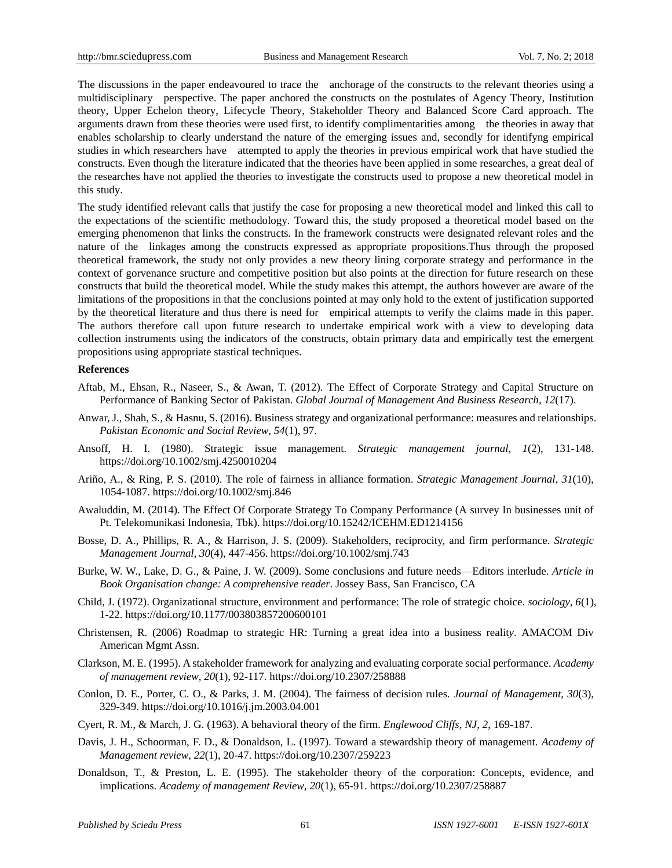The discussions in the paper endeavoured to trace the anchorage of the constructs to the relevant theories using a multidisciplinary perspective. The paper anchored the constructs on the postulates of Agency Theory, Institution theory, Upper Echelon theory, Lifecycle Theory, Stakeholder Theory and Balanced Score Card approach. The arguments drawn from these theories were used first, to identify complimentarities among the theories in away that enables scholarship to clearly understand the nature of the emerging issues and, secondly for identifyng empirical studies in which researchers have attempted to apply the theories in previous empirical work that have studied the constructs. Even though the literature indicated that the theories have been applied in some researches, a great deal of the researches have not applied the theories to investigate the constructs used to propose a new theoretical model in this study.

The study identified relevant calls that justify the case for proposing a new theoretical model and linked this call to the expectations of the scientific methodology. Toward this, the study proposed a theoretical model based on the emerging phenomenon that links the constructs. In the framework constructs were designated relevant roles and the nature of the linkages among the constructs expressed as appropriate propositions.Thus through the proposed theoretical framework, the study not only provides a new theory lining corporate strategy and performance in the context of gorvenance sructure and competitive position but also points at the direction for future research on these constructs that build the theoretical model. While the study makes this attempt, the authors however are aware of the limitations of the propositions in that the conclusions pointed at may only hold to the extent of justification supported by the theoretical literature and thus there is need for empirical attempts to verify the claims made in this paper. The authors therefore call upon future research to undertake empirical work with a view to developing data collection instruments using the indicators of the constructs, obtain primary data and empirically test the emergent propositions using appropriate stastical techniques.

## **References**

- Aftab, M., Ehsan, R., Naseer, S., & Awan, T. (2012). The Effect of Corporate Strategy and Capital Structure on Performance of Banking Sector of Pakistan. *Global Journal of Management And Business Research*, *12*(17).
- Anwar, J., Shah, S., & Hasnu, S. (2016). Business strategy and organizational performance: measures and relationships. *Pakistan Economic and Social Review*, *54*(1), 97.
- Ansoff, H. I. (1980). Strategic issue management. *Strategic management journal*, *1*(2), 131-148. https://doi.org/10.1002/smj.4250010204
- Ariño, A., & Ring, P. S. (2010). The role of fairness in alliance formation. *Strategic Management Journal*, *31*(10), 1054-1087. https://doi.org/10.1002/smj.846
- Awaluddin, M. (2014). The Effect Of Corporate Strategy To Company Performance (A survey In businesses unit of Pt. Telekomunikasi Indonesia, Tbk). <https://doi.org/10.15242/ICEHM.ED1214156>
- Bosse, D. A., Phillips, R. A., & Harrison, J. S. (2009). Stakeholders, reciprocity, and firm performance. *Strategic Management Journal*, *30*(4), 447-456. https://doi.org/10.1002/smj.743
- Burke, W. W., Lake, D. G., & Paine, J. W. (2009). Some conclusions and future needs—Editors interlude. *Article in Book Organisation change: A comprehensive reader*. Jossey Bass, San Francisco, CA
- Child, J. (1972). Organizational structure, environment and performance: The role of strategic choice. *sociology*, *6*(1), 1-22. https://doi.org/10.1177/003803857200600101
- Christensen, R. (2006) Roadmap to strategic HR: Turning a great idea into a business realit*y*. AMACOM Div American Mgmt Assn.
- Clarkson, M. E. (1995). A stakeholder framework for analyzing and evaluating corporate social performance. *Academy of management review*, *20*(1), 92-117. https://doi.org/10.2307/258888
- Conlon, D. E., Porter, C. O., & Parks, J. M. (2004). The fairness of decision rules. *Journal of Management*, *30*(3), 329-349. https://doi.org/10.1016/j.jm.2003.04.001
- Cyert, R. M., & March, J. G. (1963). A behavioral theory of the firm. *Englewood Cliffs, NJ*, *2*, 169-187.
- Davis, J. H., Schoorman, F. D., & Donaldson, L. (1997). Toward a stewardship theory of management. *Academy of Management review*, *22*(1), 20-47. https://doi.org/10.2307/259223
- Donaldson, T., & Preston, L. E. (1995). The stakeholder theory of the corporation: Concepts, evidence, and implications. *Academy of management Review*, *20*(1), 65-91. https://doi.org/10.2307/258887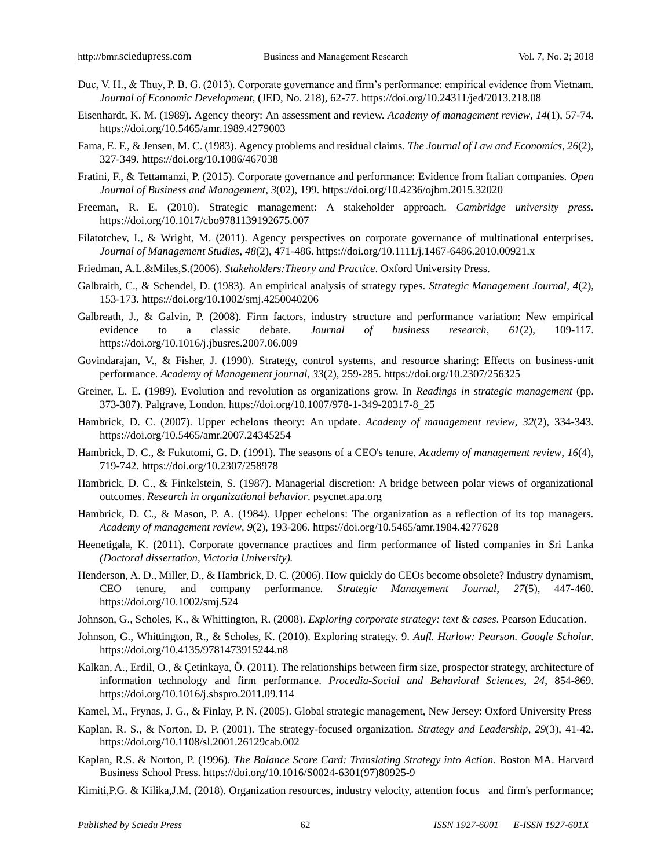- Duc, V. H., & Thuy, P. B. G. (2013). Corporate governance and firm's performance: empirical evidence from Vietnam. *Journal of Economic Development*, (JED, No. 218), 62-77. https://doi.org/10.24311/jed/2013.218.08
- Eisenhardt, K. M. (1989). Agency theory: An assessment and review. *Academy of management review*, *14*(1), 57-74. https://doi.org/10.5465/amr.1989.4279003
- Fama, E. F., & Jensen, M. C. (1983). Agency problems and residual claims. *The Journal of Law and Economics*, *26*(2), 327-349. https://doi.org/10.1086/467038
- Fratini, F., & Tettamanzi, P. (2015). Corporate governance and performance: Evidence from Italian companies. *Open Journal of Business and Management*, *3*(02), 199[. https://doi.org/10.4236/ojbm.2015.32020](https://doi.org/10.4236/ojbm.2015.32020)
- Freeman, R. E. (2010). Strategic management: A stakeholder approach. *Cambridge university press.*  https://doi.org/10.1017/cbo9781139192675.007
- Filatotchev, I., & Wright, M. (2011). Agency perspectives on corporate governance of multinational enterprises. *Journal of Management Studies*, *48*(2), 471-486. https://doi.org/10.1111/j.1467-6486.2010.00921.x
- Friedman, A.L.&Miles,S.(2006). *Stakeholders:Theory and Practice*. Oxford University Press.
- Galbraith, C., & Schendel, D. (1983). An empirical analysis of strategy types. *Strategic Management Journal*, *4*(2), 153-173. https://doi.org/10.1002/smj.4250040206
- Galbreath, J., & Galvin, P. (2008). Firm factors, industry structure and performance variation: New empirical evidence to a classic debate. *Journal of business research*, *61*(2), 109-117. https://doi.org/10.1016/j.jbusres.2007.06.009
- Govindarajan, V., & Fisher, J. (1990). Strategy, control systems, and resource sharing: Effects on business-unit performance. *Academy of Management journal*, *33*(2), 259-285. https://doi.org/10.2307/256325
- Greiner, L. E. (1989). Evolution and revolution as organizations grow. In *Readings in strategic management* (pp. 373-387). Palgrave, London. https://doi.org/10.1007/978-1-349-20317-8\_25
- Hambrick, D. C. (2007). Upper echelons theory: An update. *Academy of management review*, *32*(2), 334-343. https://doi.org/10.5465/amr.2007.24345254
- Hambrick, D. C., & Fukutomi, G. D. (1991). The seasons of a CEO's tenure. *Academy of management review*, *16*(4), 719-742. https://doi.org/10.2307/258978
- Hambrick, D. C., & Finkelstein, S. (1987). Managerial discretion: A bridge between polar views of organizational outcomes. *Research in organizational behavior*. psycnet.apa.org
- Hambrick, D. C., & Mason, P. A. (1984). Upper echelons: The organization as a reflection of its top managers. *Academy of management review*, *9*(2), 193-206. <https://doi.org/10.5465/amr.1984.4277628>
- Heenetigala, K. (2011). Corporate governance practices and firm performance of listed companies in Sri Lanka *(Doctoral dissertation, Victoria University).*
- Henderson, A. D., Miller, D., & Hambrick, D. C. (2006). How quickly do CEOs become obsolete? Industry dynamism, CEO tenure, and company performance. *Strategic Management Journal*, *27*(5), 447-460. https://doi.org/10.1002/smj.524
- Johnson, G., Scholes, K., & Whittington, R. (2008). *Exploring corporate strategy: text & cases*. Pearson Education.
- Johnson, G., Whittington, R., & Scholes, K. (2010). Exploring strategy. 9. *Aufl. Harlow: Pearson. Google Scholar*. https://doi.org/10.4135/9781473915244.n8
- Kalkan, A., Erdil, O., & Çetinkaya, Ö. (2011). The relationships between firm size, prospector strategy, architecture of information technology and firm performance. *Procedia-Social and Behavioral Sciences*, *24*, 854-869. https://doi.org/10.1016/j.sbspro.2011.09.114
- Kamel, M., Frynas, J. G., & Finlay, P. N. (2005). Global strategic management, New Jersey: Oxford University Press
- Kaplan, R. S., & Norton, D. P. (2001). The strategy-focused organization. *Strategy and Leadership*, *29*(3), 41-42. https://doi.org/10.1108/sl.2001.26129cab.002
- Kaplan, R.S. & Norton, P. (1996). *The Balance Score Card: Translating Strategy into Action.* Boston MA. Harvard Business School Press. https://doi.org/10.1016/S0024-6301(97)80925-9
- Kimiti,P.G. & Kilika,J.M. (2018). Organization resources, industry velocity, attention focus and firm's performance;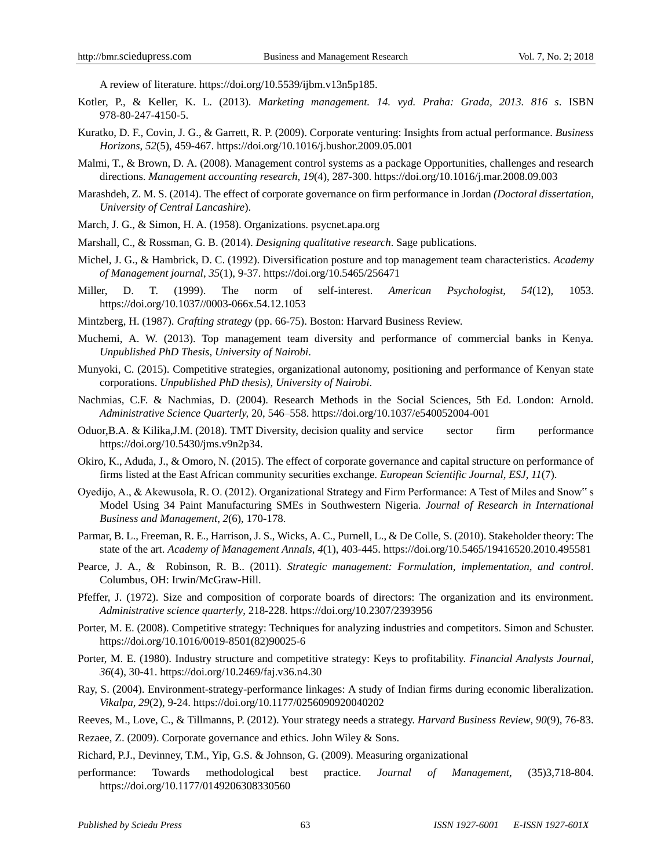A review of literature. https://doi.org/10.5539/ijbm.v13n5p185.

- Kotler, P., & Keller, K. L. (2013). *Marketing management. 14. vyd. Praha: Grada, 2013. 816 s*. ISBN 978-80-247-4150-5.
- Kuratko, D. F., Covin, J. G., & Garrett, R. P. (2009). Corporate venturing: Insights from actual performance. *Business Horizons*, *52*(5), 459-467. https://doi.org/10.1016/j.bushor.2009.05.001
- Malmi, T., & Brown, D. A. (2008). Management control systems as a package Opportunities, challenges and research directions. *Management accounting research*, *19*(4), 287-300. https://doi.org/10.1016/j.mar.2008.09.003
- Marashdeh, Z. M. S. (2014). The effect of corporate governance on firm performance in Jordan *(Doctoral dissertation, University of Central Lancashire*).
- March, J. G., & Simon, H. A. (1958). Organizations. psycnet.apa.org
- Marshall, C., & Rossman, G. B. (2014). *Designing qualitative research*. Sage publications.
- Michel, J. G., & Hambrick, D. C. (1992). Diversification posture and top management team characteristics. *Academy of Management journal*, *35*(1), 9-37. https://doi.org/10.5465/256471
- Miller, D. T. (1999). The norm of self-interest. *American Psychologist*, *54*(12), 1053. https://doi.org/10.1037//0003-066x.54.12.1053
- Mintzberg, H. (1987). *Crafting strategy* (pp. 66-75). Boston: Harvard Business Review.
- Muchemi, A. W. (2013). Top management team diversity and performance of commercial banks in Kenya. *Unpublished PhD Thesis, University of Nairobi*.
- Munyoki, C. (2015). Competitive strategies, organizational autonomy, positioning and performance of Kenyan state corporations. *Unpublished PhD thesis), University of Nairobi*.
- Nachmias, C.F. & Nachmias, D. (2004). Research Methods in the Social Sciences, 5th Ed. London: Arnold. *Administrative Science Quarterly,* 20, 546–558. https://doi.org/10.1037/e540052004-001
- Oduor,B.A. & Kilika,J.M. (2018). TMT Diversity, decision quality and service sector firm performance https://doi.org/10.5430/jms.v9n2p34.
- Okiro, K., Aduda, J., & Omoro, N. (2015). The effect of corporate governance and capital structure on performance of firms listed at the East African community securities exchange. *European Scientific Journal, ESJ*, *11*(7).
- Oyedijo, A., & Akewusola, R. O. (2012). Organizational Strategy and Firm Performance: A Test of Miles and Snow" s Model Using 34 Paint Manufacturing SMEs in Southwestern Nigeria. *Journal of Research in International Business and Management*, *2*(6), 170-178.
- Parmar, B. L., Freeman, R. E., Harrison, J. S., Wicks, A. C., Purnell, L., & De Colle, S. (2010). Stakeholder theory: The state of the art. *Academy of Management Annals*, *4*(1), 403-445. https://doi.org/10.5465/19416520.2010.495581
- Pearce, J. A., & Robinson, R. B.. (2011). *Strategic management: Formulation, implementation, and control*. Columbus, OH: Irwin/McGraw-Hill.
- Pfeffer, J. (1972). Size and composition of corporate boards of directors: The organization and its environment. *Administrative science quarterly*, 218-228. https://doi.org/10.2307/2393956
- Porter, M. E. (2008). Competitive strategy: Techniques for analyzing industries and competitors. Simon and Schuster. https://doi.org/10.1016/0019-8501(82)90025-6
- Porter, M. E. (1980). Industry structure and competitive strategy: Keys to profitability. *Financial Analysts Journal*, *36*(4), 30-41. https://doi.org/10.2469/faj.v36.n4.30
- Ray, S. (2004). Environment-strategy-performance linkages: A study of Indian firms during economic liberalization. *Vikalpa*, *29*(2), 9-24. https://doi.org/10.1177/0256090920040202
- Reeves, M., Love, C., & Tillmanns, P. (2012). Your strategy needs a strategy. *Harvard Business Review*, *90*(9), 76-83.
- Rezaee, Z. (2009). Corporate governance and ethics. John Wiley & Sons.
- Richard, P.J., Devinney, T.M., Yip, G.S. & Johnson, G. (2009). Measuring organizational
- performance: Towards methodological best practice. *Journal of Management,* (35)3,718-804. https://doi.org/10.1177/0149206308330560